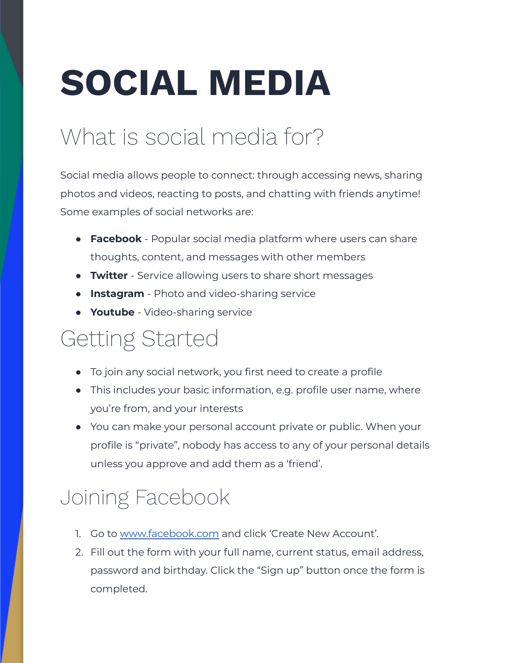# **SOCIAL MEDIA**

# What is social media for?

Social media allows people to connect: through accessing news, sharing photos and videos, reacting to posts, and chatting with friends anytime! Some examples of social networks are:

- **Facebook** Popular social media platform where users can share thoughts, content, and messages with other members
- **Twitter** Service allowing users to share short messages
- **Instagram** Photo and video-sharing service
- **Youtube** Video-sharing service

## Getting Started

- To join any social network, you first need to create a profile
- This includes your basic information, e.g. profile user name, where you're from, and your interests
- You can make your personal account private or public. When your profile is "private", nobody has access to any of your personal details unless you approve and add them as a 'friend'.

## Joining Facebook

- 1. Go to [www.facebook.com](http://www.facebook.com) and click 'Create New Account'.
- 2. Fill out the form with your full name, current status, email address, password and birthday. Click the "Sign up" button once the form is completed.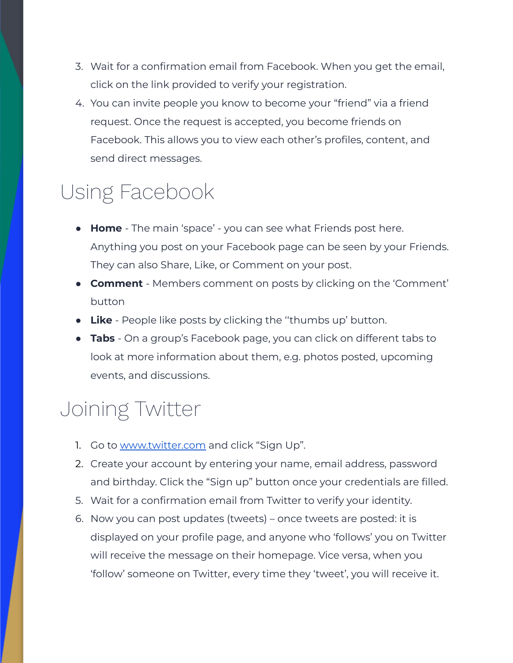- 3. Wait for a confirmation email from Facebook. When you get the email, click on the link provided to verify your registration.
- 4. You can invite people you know to become your "friend" via a friend request. Once the request is accepted, you become friends on Facebook. This allows you to view each other's profiles, content, and send direct messages.

#### Using Facebook

- **Home** The main 'space' you can see what Friends post here. Anything you post on your Facebook page can be seen by your Friends. They can also Share, Like, or Comment on your post.
- **Comment** Members comment on posts by clicking on the 'Comment' button
- **Like** People like posts by clicking the ''thumbs up' button.
- **Tabs** On a group's Facebook page, you can click on different tabs to look at more information about them, e.g. photos posted, upcoming events, and discussions.

#### Joining Twitter

- 1. Go to [www.twitter.com](http://www.twitter.com) and click "Sign Up".
- 2. Create your account by entering your name, email address, password and birthday. Click the "Sign up" button once your credentials are filled.
- 5. Wait for a confirmation email from Twitter to verify your identity.
- 6. Now you can post updates (tweets) once tweets are posted: it is displayed on your profile page, and anyone who 'follows' you on Twitter will receive the message on their homepage. Vice versa, when you 'follow' someone on Twitter, every time they 'tweet', you will receive it.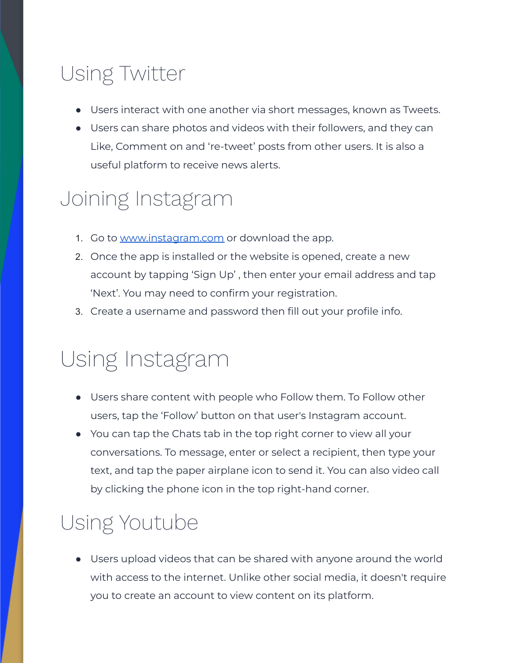#### Using Twitter

- Users interact with one another via short messages, known as Tweets.
- Users can share photos and videos with their followers, and they can Like, Comment on and 're-tweet' posts from other users. It is also a useful platform to receive news alerts.

## Joining Instagram

- 1. Go to [www.instagram.com](https://www.instagram.com/?fbclid=IwAR3hoYrBd1L5geFJE4Go_N8FQ_WZlGlSylgCqoN1lM6hcgJLGOj8HEGdxXs) or download the app.
- 2. Once the app is installed or the website is opened, create a new account by tapping 'Sign Up' , then enter your email address and tap 'Next'. You may need to confirm your registration.
- 3. Create a username and password then fill out your profile info.

## Using Instagram

- Users share content with people who Follow them. To Follow other users, tap the 'Follow' button on that user's Instagram account.
- You can tap the Chats tab in the top right corner to view all your conversations. To message, enter or select a recipient, then type your text, and tap the paper airplane icon to send it. You can also video call by clicking the phone icon in the top right-hand corner.

## Using Youtube

● Users upload videos that can be shared with anyone around the world with access to the internet. Unlike other social media, it doesn't require you to create an account to view content on its platform.